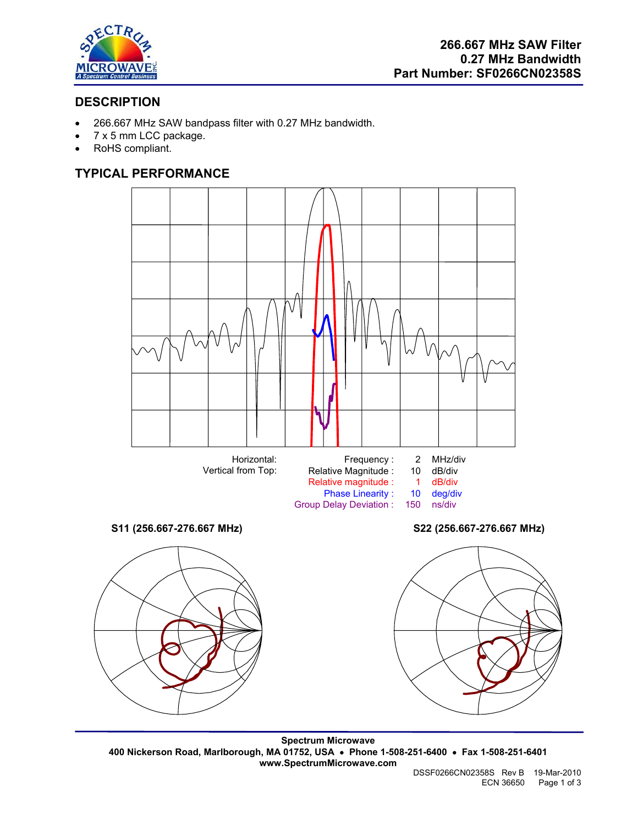

# **DESCRIPTION**

- 266.667 MHz SAW bandpass filter with 0.27 MHz bandwidth.
- 7 x 5 mm LCC package.
- RoHS compliant.

# **TYPICAL PERFORMANCE**



**Spectrum Microwave 400 Nickerson Road, Marlborough, MA 01752, USA** • **Phone 1-508-251-6400** • **Fax 1-508-251-6401 www.SpectrumMicrowave.com**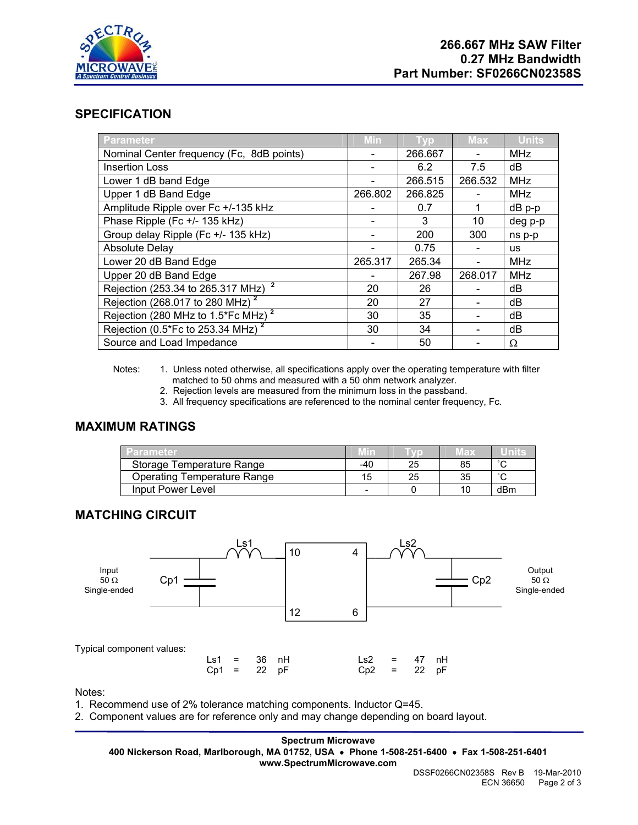

## **SPECIFICATION**

| <b>Parameter</b>                               | Min     | <b>VD</b> | <b>Max</b> | <b>Units</b> |
|------------------------------------------------|---------|-----------|------------|--------------|
| Nominal Center frequency (Fc, 8dB points)      |         | 266.667   |            | <b>MHz</b>   |
| <b>Insertion Loss</b>                          |         | 6.2       | 7.5        | dB           |
| Lower 1 dB band Edge                           |         | 266.515   | 266.532    | <b>MHz</b>   |
| Upper 1 dB Band Edge                           | 266.802 | 266.825   |            | <b>MHz</b>   |
| Amplitude Ripple over Fc +/-135 kHz            |         | 0.7       | 1          | dB p-p       |
| Phase Ripple (Fc +/- 135 kHz)                  |         | 3         | 10         | deg p-p      |
| Group delay Ripple (Fc +/- 135 kHz)            |         | 200       | 300        | ns p-p       |
| <b>Absolute Delay</b>                          |         | 0.75      |            | <b>us</b>    |
| Lower 20 dB Band Edge                          | 265.317 | 265.34    |            | <b>MHz</b>   |
| Upper 20 dB Band Edge                          |         | 267.98    | 268.017    | <b>MHz</b>   |
| Rejection (253.34 to 265.317 MHz) <sup>2</sup> | 20      | 26        |            | dB           |
| Rejection (268.017 to 280 MHz) <sup>2</sup>    | 20      | 27        |            | dB           |
| Rejection (280 MHz to 1.5*Fc MHz) <sup>2</sup> | 30      | 35        |            | dB           |
| Rejection (0.5*Fc to 253.34 MHz) <sup>2</sup>  | 30      | 34        |            | dB           |
| Source and Load Impedance                      |         | 50        |            | Ω            |

Notes: 1. Unless noted otherwise, all specifications apply over the operating temperature with filter matched to 50 ohms and measured with a 50 ohm network analyzer.

2. Rejection levels are measured from the minimum loss in the passband.

3. All frequency specifications are referenced to the nominal center frequency, Fc.

# **MAXIMUM RATINGS**

| Parameter                          |                          |    | 旧文 |        |
|------------------------------------|--------------------------|----|----|--------|
| Storage Temperature Range          | -40                      | 25 | 85 | $\sim$ |
| <b>Operating Temperature Range</b> | 15                       | 25 | 35 | $\sim$ |
| Input Power Level                  | $\overline{\phantom{0}}$ |    | 10 | dBm    |

## **MATCHING CIRCUIT**



#### Notes:

- 1. Recommend use of 2% tolerance matching components. Inductor Q=45.
- 2. Component values are for reference only and may change depending on board layout.